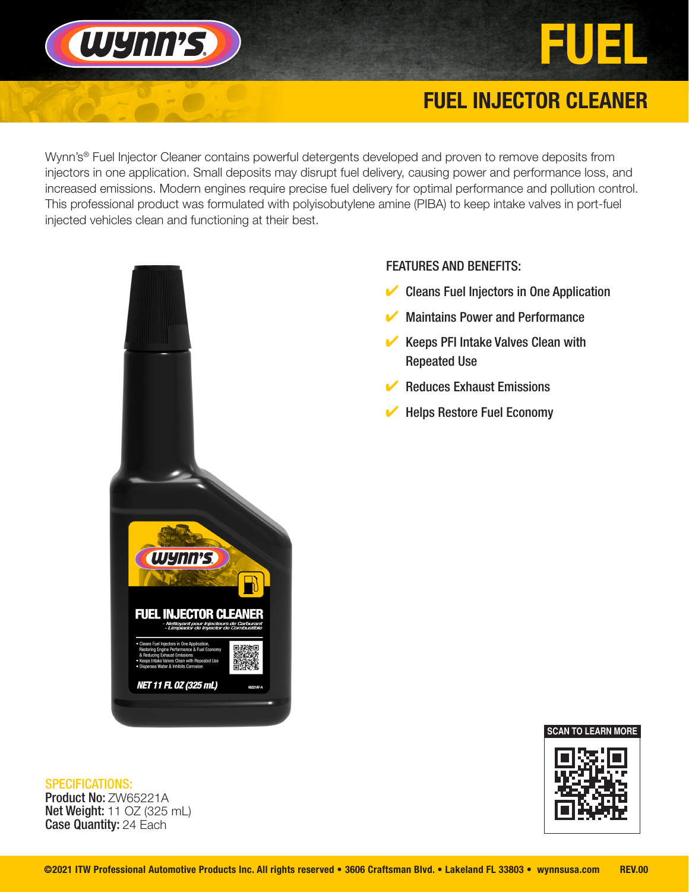

### FUEL INJECTOR CLEANER

EUEL

Wynn's<sup>®</sup> Fuel Injector Cleaner contains powerful detergents developed and proven to remove deposits from injectors in one application. Small deposits may disrupt fuel delivery, causing power and performance loss, and increased emissions. Modern engines require precise fuel delivery for optimal performance and pollution control. This professional product was formulated with polyisobutylene amine (PIBA) to keep intake valves in port-fuel injected vehicles clean and functioning at their best.



#### FEATURES AND BENEFITS:

- $\vee$  Cleans Fuel Injectors in One Application
- **Maintains Power and Performance**
- $\vee$  Keeps PFI Intake Valves Clean with Repeated Use
- **Reduces Exhaust Emissions**
- **Helps Restore Fuel Economy**

# SPECIFICATIONS:

Product No: ZW65221A **Net Weight: 11 OZ (325 mL)** Case Quantity: 24 Each